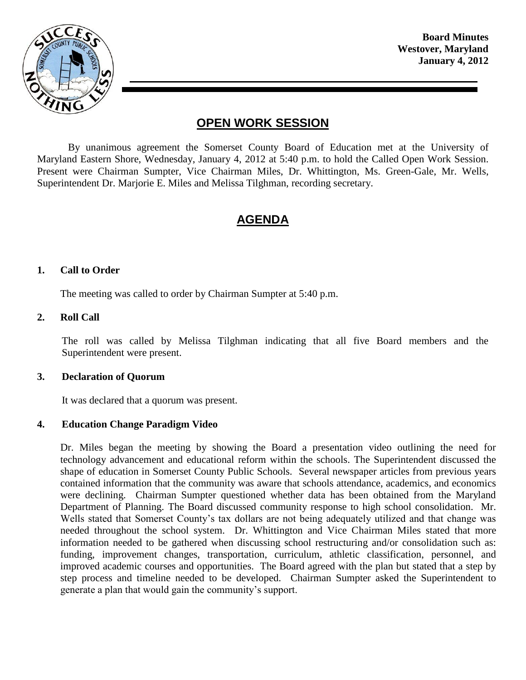

**Board Minutes Westover, Maryland January 4, 2012**

# **OPEN WORK SESSION**

By unanimous agreement the Somerset County Board of Education met at the University of Maryland Eastern Shore, Wednesday, January 4, 2012 at 5:40 p.m. to hold the Called Open Work Session. Present were Chairman Sumpter, Vice Chairman Miles, Dr. Whittington, Ms. Green-Gale, Mr. Wells, Superintendent Dr. Marjorie E. Miles and Melissa Tilghman, recording secretary.

# **AGENDA**

#### **1. Call to Order**

The meeting was called to order by Chairman Sumpter at 5:40 p.m.

#### **2. Roll Call**

The roll was called by Melissa Tilghman indicating that all five Board members and the Superintendent were present.

#### **3. Declaration of Quorum**

It was declared that a quorum was present.

#### **4. Education Change Paradigm Video**

Dr. Miles began the meeting by showing the Board a presentation video outlining the need for technology advancement and educational reform within the schools. The Superintendent discussed the shape of education in Somerset County Public Schools. Several newspaper articles from previous years contained information that the community was aware that schools attendance, academics, and economics were declining. Chairman Sumpter questioned whether data has been obtained from the Maryland Department of Planning. The Board discussed community response to high school consolidation. Mr. Wells stated that Somerset County's tax dollars are not being adequately utilized and that change was needed throughout the school system. Dr. Whittington and Vice Chairman Miles stated that more information needed to be gathered when discussing school restructuring and/or consolidation such as: funding, improvement changes, transportation, curriculum, athletic classification, personnel, and improved academic courses and opportunities. The Board agreed with the plan but stated that a step by step process and timeline needed to be developed. Chairman Sumpter asked the Superintendent to generate a plan that would gain the community's support.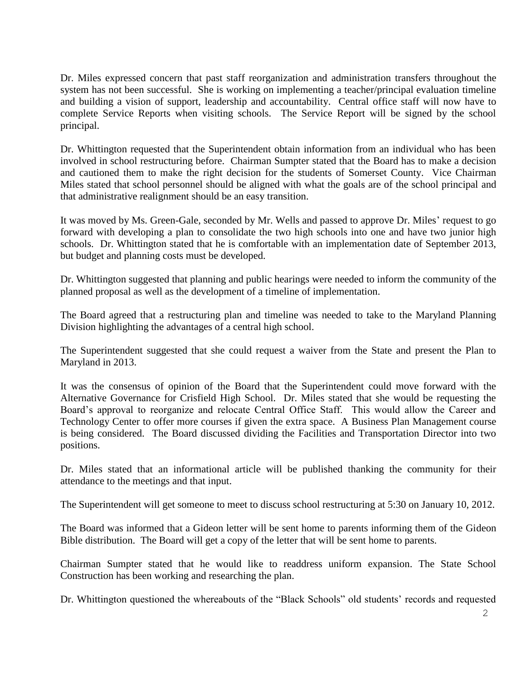Dr. Miles expressed concern that past staff reorganization and administration transfers throughout the system has not been successful. She is working on implementing a teacher/principal evaluation timeline and building a vision of support, leadership and accountability. Central office staff will now have to complete Service Reports when visiting schools. The Service Report will be signed by the school principal.

Dr. Whittington requested that the Superintendent obtain information from an individual who has been involved in school restructuring before. Chairman Sumpter stated that the Board has to make a decision and cautioned them to make the right decision for the students of Somerset County. Vice Chairman Miles stated that school personnel should be aligned with what the goals are of the school principal and that administrative realignment should be an easy transition.

It was moved by Ms. Green-Gale, seconded by Mr. Wells and passed to approve Dr. Miles' request to go forward with developing a plan to consolidate the two high schools into one and have two junior high schools. Dr. Whittington stated that he is comfortable with an implementation date of September 2013, but budget and planning costs must be developed.

Dr. Whittington suggested that planning and public hearings were needed to inform the community of the planned proposal as well as the development of a timeline of implementation.

The Board agreed that a restructuring plan and timeline was needed to take to the Maryland Planning Division highlighting the advantages of a central high school.

The Superintendent suggested that she could request a waiver from the State and present the Plan to Maryland in 2013.

It was the consensus of opinion of the Board that the Superintendent could move forward with the Alternative Governance for Crisfield High School. Dr. Miles stated that she would be requesting the Board's approval to reorganize and relocate Central Office Staff. This would allow the Career and Technology Center to offer more courses if given the extra space. A Business Plan Management course is being considered. The Board discussed dividing the Facilities and Transportation Director into two positions.

Dr. Miles stated that an informational article will be published thanking the community for their attendance to the meetings and that input.

The Superintendent will get someone to meet to discuss school restructuring at 5:30 on January 10, 2012.

The Board was informed that a Gideon letter will be sent home to parents informing them of the Gideon Bible distribution. The Board will get a copy of the letter that will be sent home to parents.

Chairman Sumpter stated that he would like to readdress uniform expansion. The State School Construction has been working and researching the plan.

Dr. Whittington questioned the whereabouts of the "Black Schools" old students' records and requested